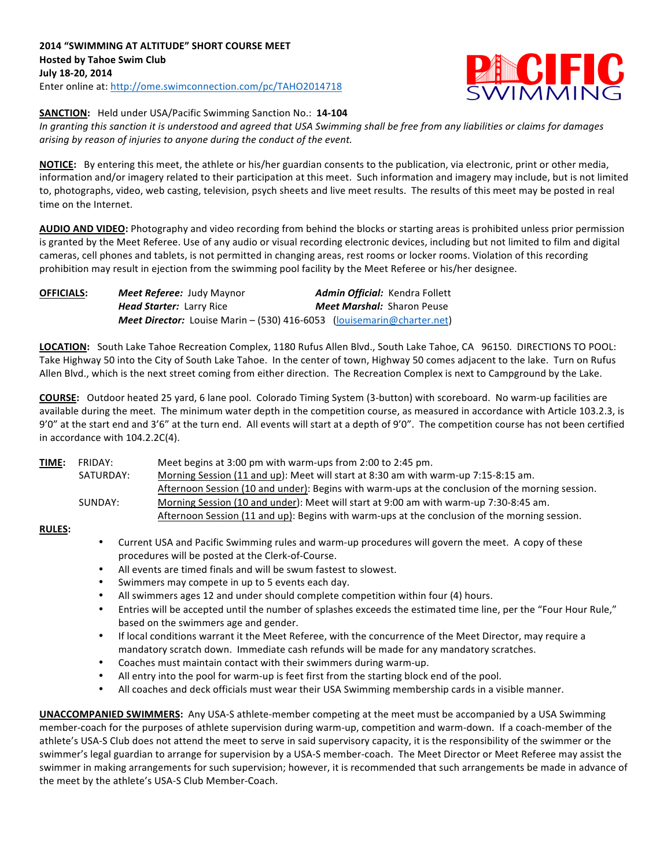

## **SANCTION:** Held under USA/Pacific Swimming Sanction No.: 14-104

In granting this sanction it is understood and agreed that USA Swimming shall be free from any liabilities or claims for damages arising by reason of injuries to anyone during the conduct of the event.

**NOTICE:** By entering this meet, the athlete or his/her guardian consents to the publication, via electronic, print or other media, information and/or imagery related to their participation at this meet. Such information and imagery may include, but is not limited to, photographs, video, web casting, television, psych sheets and live meet results. The results of this meet may be posted in real time on the Internet.

AUDIO AND VIDEO: Photography and video recording from behind the blocks or starting areas is prohibited unless prior permission is granted by the Meet Referee. Use of any audio or visual recording electronic devices, including but not limited to film and digital cameras, cell phones and tablets, is not permitted in changing areas, rest rooms or locker rooms. Violation of this recording prohibition may result in ejection from the swimming pool facility by the Meet Referee or his/her designee.

| <b>OFFICIALS:</b> | <b>Meet Referee: Judy Maynor</b>                                              |  | Admin Official: Kendra Follett    |
|-------------------|-------------------------------------------------------------------------------|--|-----------------------------------|
|                   | <b>Head Starter: Larry Rice</b>                                               |  | <b>Meet Marshal: Sharon Peuse</b> |
|                   | <b>Meet Director:</b> Louise Marin – (530) 416-6053 (louisemarin@charter.net) |  |                                   |

LOCATION: South Lake Tahoe Recreation Complex, 1180 Rufus Allen Blvd., South Lake Tahoe, CA 96150. DIRECTIONS TO POOL: Take Highway 50 into the City of South Lake Tahoe. In the center of town, Highway 50 comes adjacent to the lake. Turn on Rufus Allen Blvd., which is the next street coming from either direction. The Recreation Complex is next to Campground by the Lake.

**COURSE:** Outdoor heated 25 yard, 6 lane pool. Colorado Timing System (3-button) with scoreboard. No warm-up facilities are available during the meet. The minimum water depth in the competition course, as measured in accordance with Article 103.2.3, is 9'0" at the start end and 3'6" at the turn end. All events will start at a depth of 9'0". The competition course has not been certified in accordance with  $104.2.2C(4)$ .

| <u>TIME:</u> | FRIDAY:   | Meet begins at 3:00 pm with warm-ups from 2:00 to 2:45 pm.                                       |
|--------------|-----------|--------------------------------------------------------------------------------------------------|
|              | SATURDAY: | Morning Session (11 and up): Meet will start at 8:30 am with warm-up 7:15-8:15 am.               |
|              |           | Afternoon Session (10 and under): Begins with warm-ups at the conclusion of the morning session. |
|              | SUNDAY:   | Morning Session (10 and under): Meet will start at 9:00 am with warm-up 7:30-8:45 am.            |
|              |           | Afternoon Session (11 and up): Begins with warm-ups at the conclusion of the morning session.    |

## **RULES:**

- Current USA and Pacific Swimming rules and warm-up procedures will govern the meet. A copy of these procedures will be posted at the Clerk-of-Course.
- All events are timed finals and will be swum fastest to slowest.
- Swimmers may compete in up to 5 events each day.
- All swimmers ages 12 and under should complete competition within four (4) hours.
- Entries will be accepted until the number of splashes exceeds the estimated time line, per the "Four Hour Rule," based on the swimmers age and gender.
- If local conditions warrant it the Meet Referee, with the concurrence of the Meet Director, may require a mandatory scratch down. Immediate cash refunds will be made for any mandatory scratches.
- Coaches must maintain contact with their swimmers during warm-up.
- All entry into the pool for warm-up is feet first from the starting block end of the pool.
- All coaches and deck officials must wear their USA Swimming membership cards in a visible manner.

**UNACCOMPANIED SWIMMERS:** Any USA-S athlete-member competing at the meet must be accompanied by a USA Swimming member-coach for the purposes of athlete supervision during warm-up, competition and warm-down. If a coach-member of the athlete's USA-S Club does not attend the meet to serve in said supervisory capacity, it is the responsibility of the swimmer or the swimmer's legal guardian to arrange for supervision by a USA-S member-coach. The Meet Director or Meet Referee may assist the swimmer in making arrangements for such supervision; however, it is recommended that such arrangements be made in advance of the meet by the athlete's USA-S Club Member-Coach.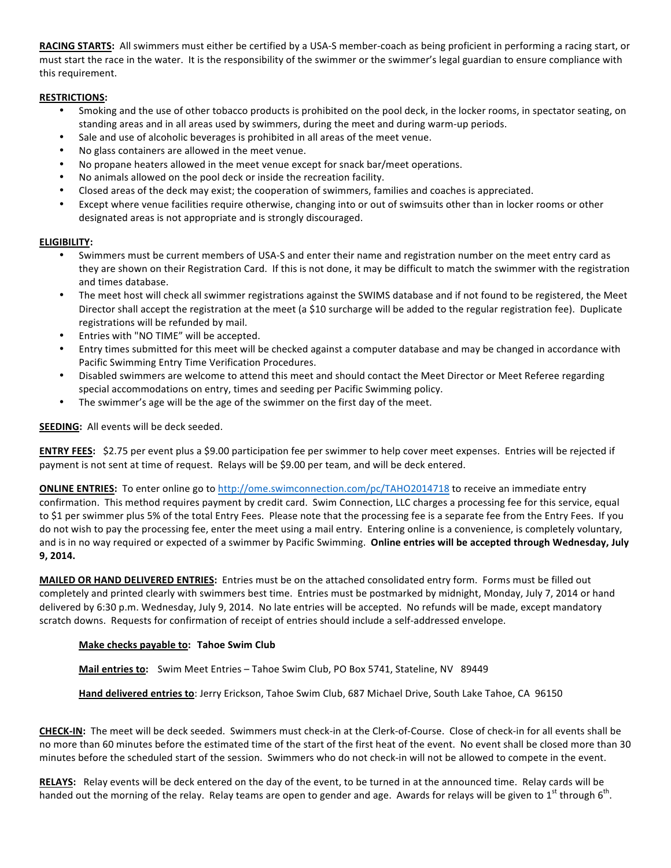**RACING STARTS:** All swimmers must either be certified by a USA-S member-coach as being proficient in performing a racing start, or must start the race in the water. It is the responsibility of the swimmer or the swimmer's legal guardian to ensure compliance with this requirement.

# **RESTRICTIONS:**

- Smoking and the use of other tobacco products is prohibited on the pool deck, in the locker rooms, in spectator seating, on standing areas and in all areas used by swimmers, during the meet and during warm-up periods.
- Sale and use of alcoholic beverages is prohibited in all areas of the meet venue.
- No glass containers are allowed in the meet venue.
- No propane heaters allowed in the meet venue except for snack bar/meet operations.
- No animals allowed on the pool deck or inside the recreation facility.
- Closed areas of the deck may exist; the cooperation of swimmers, families and coaches is appreciated.
- Except where venue facilities require otherwise, changing into or out of swimsuits other than in locker rooms or other designated areas is not appropriate and is strongly discouraged.

## **ELIGIBILITY:**

- Swimmers must be current members of USA-S and enter their name and registration number on the meet entry card as they are shown on their Registration Card. If this is not done, it may be difficult to match the swimmer with the registration and times database.
- The meet host will check all swimmer registrations against the SWIMS database and if not found to be registered, the Meet Director shall accept the registration at the meet (a \$10 surcharge will be added to the regular registration fee). Duplicate registrations will be refunded by mail.
- Entries with "NO TIME" will be accepted.
- Entry times submitted for this meet will be checked against a computer database and may be changed in accordance with Pacific Swimming Entry Time Verification Procedures.
- Disabled swimmers are welcome to attend this meet and should contact the Meet Director or Meet Referee regarding special accommodations on entry, times and seeding per Pacific Swimming policy.
- The swimmer's age will be the age of the swimmer on the first day of the meet.

#### **SEEDING:** All events will be deck seeded.

**ENTRY FEES:** \$2.75 per event plus a \$9.00 participation fee per swimmer to help cover meet expenses. Entries will be rejected if payment is not sent at time of request. Relays will be \$9.00 per team, and will be deck entered.

**ONLINE ENTRIES:** To enter online go to http://ome.swimconnection.com/pc/TAHO2014718 to receive an immediate entry confirmation. This method requires payment by credit card. Swim Connection, LLC charges a processing fee for this service, equal to \$1 per swimmer plus 5% of the total Entry Fees. Please note that the processing fee is a separate fee from the Entry Fees. If you do not wish to pay the processing fee, enter the meet using a mail entry. Entering online is a convenience, is completely voluntary, and is in no way required or expected of a swimmer by Pacific Swimming. Online entries will be accepted through Wednesday, July **9, 2014.**

**MAILED OR HAND DELIVERED ENTRIES:** Entries must be on the attached consolidated entry form. Forms must be filled out completely and printed clearly with swimmers best time. Entries must be postmarked by midnight, Monday, July 7, 2014 or hand delivered by 6:30 p.m. Wednesday, July 9, 2014. No late entries will be accepted. No refunds will be made, except mandatory scratch downs. Requests for confirmation of receipt of entries should include a self-addressed envelope.

## **Make checks payable to: Tahoe Swim Club**

Mail entries to: Swim Meet Entries - Tahoe Swim Club, PO Box 5741, Stateline, NV 89449

Hand delivered entries to: Jerry Erickson, Tahoe Swim Club, 687 Michael Drive, South Lake Tahoe, CA 96150

CHECK-IN: The meet will be deck seeded. Swimmers must check-in at the Clerk-of-Course. Close of check-in for all events shall be no more than 60 minutes before the estimated time of the start of the first heat of the event. No event shall be closed more than 30 minutes before the scheduled start of the session. Swimmers who do not check-in will not be allowed to compete in the event.

RELAYS: Relay events will be deck entered on the day of the event, to be turned in at the announced time. Relay cards will be handed out the morning of the relay. Relay teams are open to gender and age. Awards for relays will be given to  $1^{st}$  through  $6^{th}$ .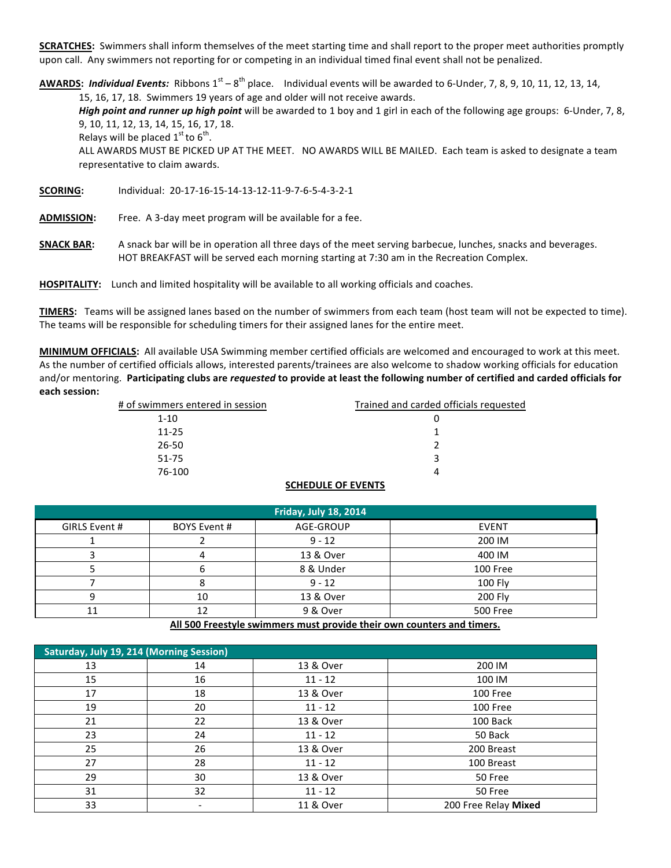**SCRATCHES:** Swimmers shall inform themselves of the meet starting time and shall report to the proper meet authorities promptly upon call. Any swimmers not reporting for or competing in an individual timed final event shall not be penalized.

**AWARDS:** Individual Events: Ribbons  $1^{st} - 8^{th}$  place. Individual events will be awarded to 6-Under, 7, 8, 9, 10, 11, 12, 13, 14, 15, 16, 17, 18. Swimmers 19 years of age and older will not receive awards.

*High point and runner up high point* will be awarded to 1 boy and 1 girl in each of the following age groups: 6-Under, 7, 8, 9, 10, 11, 12, 13, 14, 15, 16, 17, 18.

Relays will be placed  $1<sup>st</sup>$  to  $6<sup>th</sup>$ .

ALL AWARDS MUST BE PICKED UP AT THE MEET. NO AWARDS WILL BE MAILED. Each team is asked to designate a team representative to claim awards.

**SCORING:** Individual: 20-17-16-15-14-13-12-11-9-7-6-5-4-3-2-1

ADMISSION: Free. A 3-day meet program will be available for a fee.

**SNACK BAR:** A snack bar will be in operation all three days of the meet serving barbecue, lunches, snacks and beverages. HOT BREAKFAST will be served each morning starting at 7:30 am in the Recreation Complex.

HOSPITALITY: Lunch and limited hospitality will be available to all working officials and coaches.

**TIMERS:** Teams will be assigned lanes based on the number of swimmers from each team (host team will not be expected to time). The teams will be responsible for scheduling timers for their assigned lanes for the entire meet.

MINIMUM OFFICIALS: All available USA Swimming member certified officials are welcomed and encouraged to work at this meet. As the number of certified officials allows, interested parents/trainees are also welcome to shadow working officials for education and/or mentoring. Participating clubs are *requested* to provide at least the following number of certified and carded officials for **each session:**

| # of swimmers entered in session | Trained and carded officials requested |
|----------------------------------|----------------------------------------|
| $1 - 10$                         | U                                      |
| $11 - 25$                        |                                        |
| 26-50                            |                                        |
| 51-75                            | ર                                      |
| 76-100                           |                                        |

# **SCHEDULE OF EVENTS**

| <b>Friday, July 18, 2014</b> |                     |           |                 |  |  |
|------------------------------|---------------------|-----------|-----------------|--|--|
| GIRLS Event #                | <b>BOYS Event #</b> | AGE-GROUP | <b>EVENT</b>    |  |  |
|                              |                     | $9 - 12$  | 200 IM          |  |  |
|                              |                     | 13 & Over | 400 IM          |  |  |
|                              |                     | 8 & Under | 100 Free        |  |  |
|                              | Õ                   | $9 - 12$  | 100 Fly         |  |  |
| Ο                            | 10                  | 13 & Over | 200 Fly         |  |  |
|                              | 12                  | 9 & Over  | <b>500 Free</b> |  |  |

All 500 Freestyle swimmers must provide their own counters and timers.

| <b>Saturday, July 19, 214 (Morning Session)</b> |    |           |                      |  |
|-------------------------------------------------|----|-----------|----------------------|--|
| 13                                              | 14 | 13 & Over | 200 IM               |  |
| 15                                              | 16 | $11 - 12$ | 100 IM               |  |
| 17                                              | 18 | 13 & Over | 100 Free             |  |
| 19                                              | 20 | $11 - 12$ | 100 Free             |  |
| 21                                              | 22 | 13 & Over | 100 Back             |  |
| 23                                              | 24 | $11 - 12$ | 50 Back              |  |
| 25                                              | 26 | 13 & Over | 200 Breast           |  |
| 27                                              | 28 | $11 - 12$ | 100 Breast           |  |
| 29                                              | 30 | 13 & Over | 50 Free              |  |
| 31                                              | 32 | $11 - 12$ | 50 Free              |  |
| 33                                              |    | 11 & Over | 200 Free Relay Mixed |  |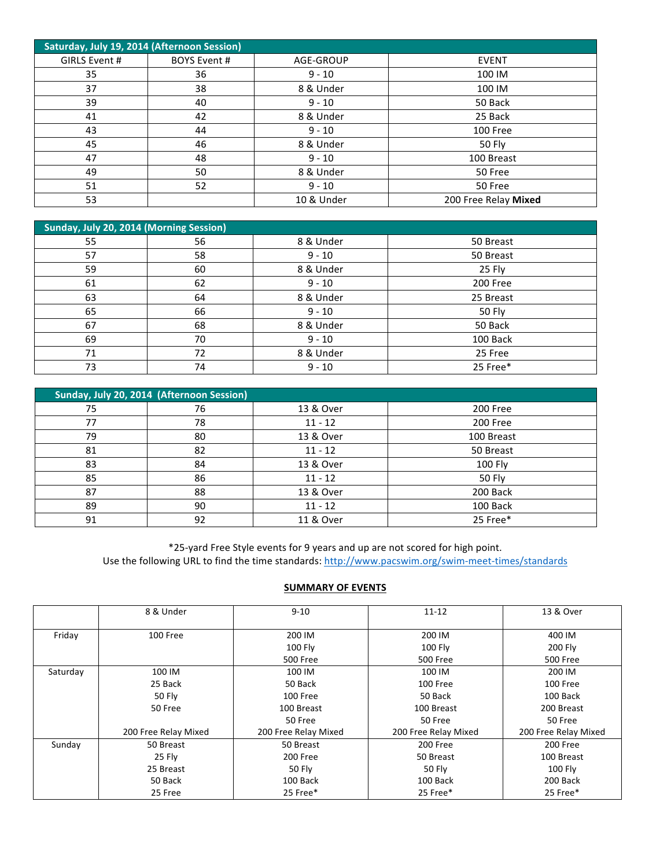| Saturday, July 19, 2014 (Afternoon Session) |                     |            |                      |  |
|---------------------------------------------|---------------------|------------|----------------------|--|
| GIRLS Event #                               | <b>BOYS Event #</b> | AGE-GROUP  | <b>EVENT</b>         |  |
| 35                                          | 36                  | $9 - 10$   | 100 IM               |  |
| 37                                          | 38                  | 8 & Under  | 100 IM               |  |
| 39                                          | 40                  | $9 - 10$   | 50 Back              |  |
| 41                                          | 42                  | 8 & Under  | 25 Back              |  |
| 43                                          | 44                  | $9 - 10$   | 100 Free             |  |
| 45                                          | 46                  | 8 & Under  | 50 Fly               |  |
| 47                                          | 48                  | $9 - 10$   | 100 Breast           |  |
| 49                                          | 50                  | 8 & Under  | 50 Free              |  |
| 51                                          | 52                  | $9 - 10$   | 50 Free              |  |
| 53                                          |                     | 10 & Under | 200 Free Relay Mixed |  |

| Sunday, July 20, 2014 (Morning Session) |    |           |           |
|-----------------------------------------|----|-----------|-----------|
| 55                                      | 56 | 8 & Under | 50 Breast |
| 57                                      | 58 | $9 - 10$  | 50 Breast |
| 59                                      | 60 | 8 & Under | 25 Fly    |
| 61                                      | 62 | $9 - 10$  | 200 Free  |
| 63                                      | 64 | 8 & Under | 25 Breast |
| 65                                      | 66 | $9 - 10$  | 50 Fly    |
| 67                                      | 68 | 8 & Under | 50 Back   |
| 69                                      | 70 | $9 - 10$  | 100 Back  |
| 71                                      | 72 | 8 & Under | 25 Free   |
| 73                                      | 74 | $9 - 10$  | 25 Free*  |

| Sunday, July 20, 2014 (Afternoon Session) |    |           |               |  |
|-------------------------------------------|----|-----------|---------------|--|
| 75                                        | 76 | 13 & Over | 200 Free      |  |
| 77                                        | 78 | $11 - 12$ | 200 Free      |  |
| 79                                        | 80 | 13 & Over | 100 Breast    |  |
| 81                                        | 82 | $11 - 12$ | 50 Breast     |  |
| 83                                        | 84 | 13 & Over | 100 Fly       |  |
| 85                                        | 86 | $11 - 12$ | <b>50 Fly</b> |  |
| 87                                        | 88 | 13 & Over | 200 Back      |  |
| 89                                        | 90 | $11 - 12$ | 100 Back      |  |
| 91                                        | 92 | 11 & Over | 25 Free*      |  |

\*25-yard Free Style events for 9 years and up are not scored for high point. Use the following URL to find the time standards: http://www.pacswim.org/swim-meet-times/standards

# **SUMMARY OF EVENTS**

|          | 8 & Under            | $9 - 10$             | $11 - 12$            | 13 & Over            |
|----------|----------------------|----------------------|----------------------|----------------------|
| Friday   | 100 Free             | 200 IM               | 200 IM               | 400 IM               |
|          |                      | 100 Fly              | $100$ Fly            | 200 Fly              |
|          |                      | <b>500 Free</b>      | <b>500 Free</b>      | <b>500 Free</b>      |
| Saturday | 100 IM               | 100 IM               | 100 IM               | 200 IM               |
|          | 25 Back              | 50 Back              | 100 Free             | 100 Free             |
|          | 50 Fly               | 100 Free             | 50 Back              | 100 Back             |
|          | 50 Free              | 100 Breast           | 100 Breast           | 200 Breast           |
|          |                      | 50 Free              | 50 Free              | 50 Free              |
|          | 200 Free Relay Mixed | 200 Free Relay Mixed | 200 Free Relay Mixed | 200 Free Relay Mixed |
| Sunday   | 50 Breast            | 50 Breast            | 200 Free             | 200 Free             |
|          | 25 Fly               | 200 Free             | 50 Breast            | 100 Breast           |
|          | 25 Breast            | 50 Fly               | 50 Fly               | <b>100 Fly</b>       |
|          | 50 Back              | 100 Back             | 100 Back             | 200 Back             |
|          | 25 Free              | 25 Free*             | 25 Free*             | 25 Free*             |